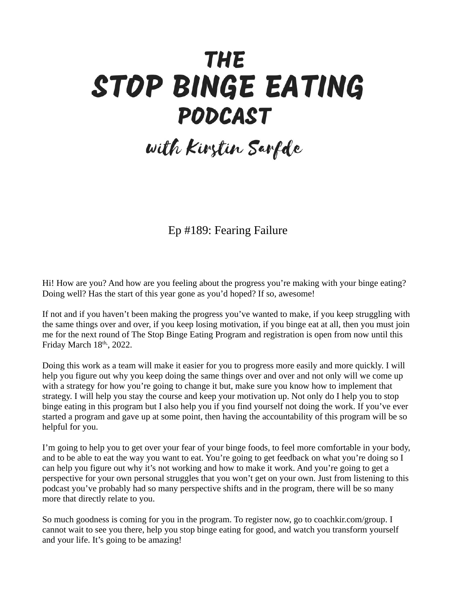## **THE** STOP BINGE EATING PODCAST

## with Kirstin Sarfde

Ep #189: Fearing Failure

Hi! How are you? And how are you feeling about the progress you're making with your binge eating? Doing well? Has the start of this year gone as you'd hoped? If so, awesome!

If not and if you haven't been making the progress you've wanted to make, if you keep struggling with the same things over and over, if you keep losing motivation, if you binge eat at all, then you must join me for the next round of The Stop Binge Eating Program and registration is open from now until this Friday March  $18<sup>th</sup>$ , 2022.

Doing this work as a team will make it easier for you to progress more easily and more quickly. I will help you figure out why you keep doing the same things over and over and not only will we come up with a strategy for how you're going to change it but, make sure you know how to implement that strategy. I will help you stay the course and keep your motivation up. Not only do I help you to stop binge eating in this program but I also help you if you find yourself not doing the work. If you've ever started a program and gave up at some point, then having the accountability of this program will be so helpful for you.

I'm going to help you to get over your fear of your binge foods, to feel more comfortable in your body, and to be able to eat the way you want to eat. You're going to get feedback on what you're doing so I can help you figure out why it's not working and how to make it work. And you're going to get a perspective for your own personal struggles that you won't get on your own. Just from listening to this podcast you've probably had so many perspective shifts and in the program, there will be so many more that directly relate to you.

So much goodness is coming for you in the program. To register now, go to coachkir.com/group. I cannot wait to see you there, help you stop binge eating for good, and watch you transform yourself and your life. It's going to be amazing!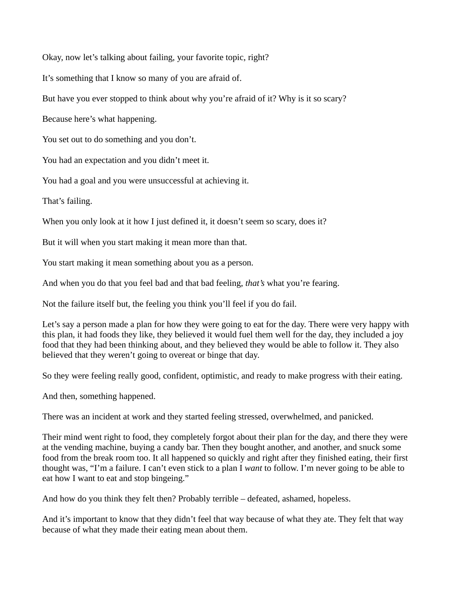Okay, now let's talking about failing, your favorite topic, right?

It's something that I know so many of you are afraid of.

But have you ever stopped to think about why you're afraid of it? Why is it so scary?

Because here's what happening.

You set out to do something and you don't.

You had an expectation and you didn't meet it.

You had a goal and you were unsuccessful at achieving it.

That's failing.

When you only look at it how I just defined it, it doesn't seem so scary, does it?

But it will when you start making it mean more than that.

You start making it mean something about you as a person.

And when you do that you feel bad and that bad feeling, *that's* what you're fearing.

Not the failure itself but, the feeling you think you'll feel if you do fail.

Let's say a person made a plan for how they were going to eat for the day. There were very happy with this plan, it had foods they like, they believed it would fuel them well for the day, they included a joy food that they had been thinking about, and they believed they would be able to follow it. They also believed that they weren't going to overeat or binge that day.

So they were feeling really good, confident, optimistic, and ready to make progress with their eating.

And then, something happened.

There was an incident at work and they started feeling stressed, overwhelmed, and panicked.

Their mind went right to food, they completely forgot about their plan for the day, and there they were at the vending machine, buying a candy bar. Then they bought another, and another, and snuck some food from the break room too. It all happened so quickly and right after they finished eating, their first thought was, "I'm a failure. I can't even stick to a plan I *want* to follow. I'm never going to be able to eat how I want to eat and stop bingeing."

And how do you think they felt then? Probably terrible – defeated, ashamed, hopeless.

And it's important to know that they didn't feel that way because of what they ate. They felt that way because of what they made their eating mean about them.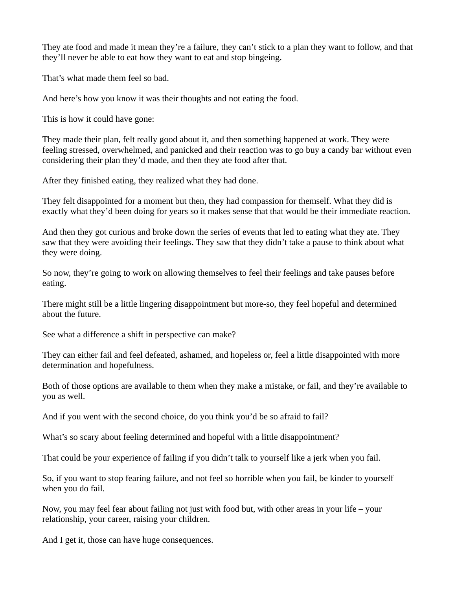They ate food and made it mean they're a failure, they can't stick to a plan they want to follow, and that they'll never be able to eat how they want to eat and stop bingeing.

That's what made them feel so bad.

And here's how you know it was their thoughts and not eating the food.

This is how it could have gone:

They made their plan, felt really good about it, and then something happened at work. They were feeling stressed, overwhelmed, and panicked and their reaction was to go buy a candy bar without even considering their plan they'd made, and then they ate food after that.

After they finished eating, they realized what they had done.

They felt disappointed for a moment but then, they had compassion for themself. What they did is exactly what they'd been doing for years so it makes sense that that would be their immediate reaction.

And then they got curious and broke down the series of events that led to eating what they ate. They saw that they were avoiding their feelings. They saw that they didn't take a pause to think about what they were doing.

So now, they're going to work on allowing themselves to feel their feelings and take pauses before eating.

There might still be a little lingering disappointment but more-so, they feel hopeful and determined about the future.

See what a difference a shift in perspective can make?

They can either fail and feel defeated, ashamed, and hopeless or, feel a little disappointed with more determination and hopefulness.

Both of those options are available to them when they make a mistake, or fail, and they're available to you as well.

And if you went with the second choice, do you think you'd be so afraid to fail?

What's so scary about feeling determined and hopeful with a little disappointment?

That could be your experience of failing if you didn't talk to yourself like a jerk when you fail.

So, if you want to stop fearing failure, and not feel so horrible when you fail, be kinder to yourself when you do fail.

Now, you may feel fear about failing not just with food but, with other areas in your life – your relationship, your career, raising your children.

And I get it, those can have huge consequences.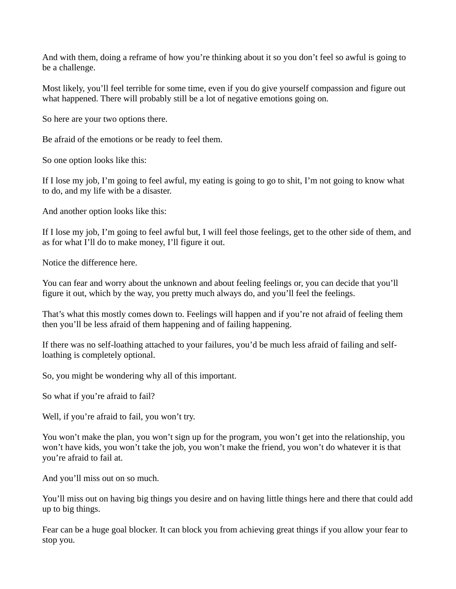And with them, doing a reframe of how you're thinking about it so you don't feel so awful is going to be a challenge.

Most likely, you'll feel terrible for some time, even if you do give yourself compassion and figure out what happened. There will probably still be a lot of negative emotions going on.

So here are your two options there.

Be afraid of the emotions or be ready to feel them.

So one option looks like this:

If I lose my job, I'm going to feel awful, my eating is going to go to shit, I'm not going to know what to do, and my life with be a disaster.

And another option looks like this:

If I lose my job, I'm going to feel awful but, I will feel those feelings, get to the other side of them, and as for what I'll do to make money, I'll figure it out.

Notice the difference here.

You can fear and worry about the unknown and about feeling feelings or, you can decide that you'll figure it out, which by the way, you pretty much always do, and you'll feel the feelings.

That's what this mostly comes down to. Feelings will happen and if you're not afraid of feeling them then you'll be less afraid of them happening and of failing happening.

If there was no self-loathing attached to your failures, you'd be much less afraid of failing and selfloathing is completely optional.

So, you might be wondering why all of this important.

So what if you're afraid to fail?

Well, if you're afraid to fail, you won't try.

You won't make the plan, you won't sign up for the program, you won't get into the relationship, you won't have kids, you won't take the job, you won't make the friend, you won't do whatever it is that you're afraid to fail at.

And you'll miss out on so much.

You'll miss out on having big things you desire and on having little things here and there that could add up to big things.

Fear can be a huge goal blocker. It can block you from achieving great things if you allow your fear to stop you.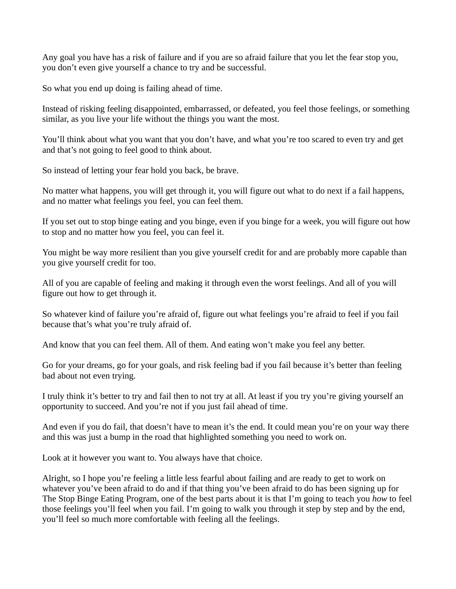Any goal you have has a risk of failure and if you are so afraid failure that you let the fear stop you, you don't even give yourself a chance to try and be successful.

So what you end up doing is failing ahead of time.

Instead of risking feeling disappointed, embarrassed, or defeated, you feel those feelings, or something similar, as you live your life without the things you want the most.

You'll think about what you want that you don't have, and what you're too scared to even try and get and that's not going to feel good to think about.

So instead of letting your fear hold you back, be brave.

No matter what happens, you will get through it, you will figure out what to do next if a fail happens, and no matter what feelings you feel, you can feel them.

If you set out to stop binge eating and you binge, even if you binge for a week, you will figure out how to stop and no matter how you feel, you can feel it.

You might be way more resilient than you give yourself credit for and are probably more capable than you give yourself credit for too.

All of you are capable of feeling and making it through even the worst feelings. And all of you will figure out how to get through it.

So whatever kind of failure you're afraid of, figure out what feelings you're afraid to feel if you fail because that's what you're truly afraid of.

And know that you can feel them. All of them. And eating won't make you feel any better.

Go for your dreams, go for your goals, and risk feeling bad if you fail because it's better than feeling bad about not even trying.

I truly think it's better to try and fail then to not try at all. At least if you try you're giving yourself an opportunity to succeed. And you're not if you just fail ahead of time.

And even if you do fail, that doesn't have to mean it's the end. It could mean you're on your way there and this was just a bump in the road that highlighted something you need to work on.

Look at it however you want to. You always have that choice.

Alright, so I hope you're feeling a little less fearful about failing and are ready to get to work on whatever you've been afraid to do and if that thing you've been afraid to do has been signing up for The Stop Binge Eating Program, one of the best parts about it is that I'm going to teach you *how* to feel those feelings you'll feel when you fail. I'm going to walk you through it step by step and by the end, you'll feel so much more comfortable with feeling all the feelings.